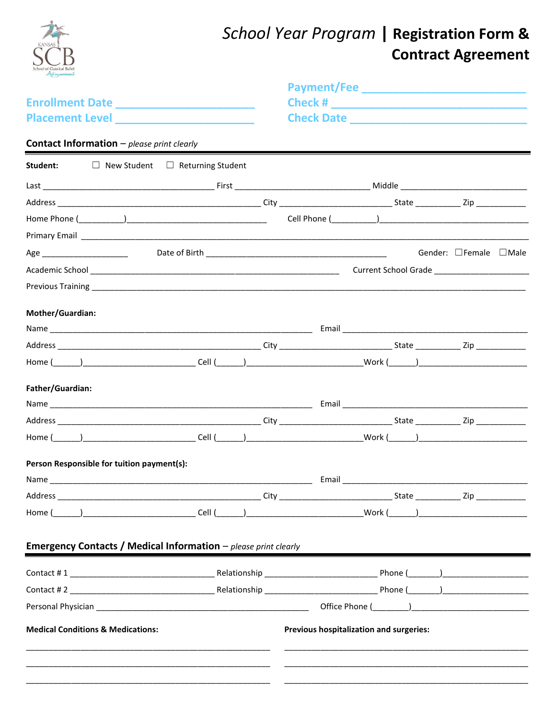| School of Classical Balle                                                                                                                                                                                                      |  | School Year Program   Registration Form &                 | <b>Contract Agreement</b> |
|--------------------------------------------------------------------------------------------------------------------------------------------------------------------------------------------------------------------------------|--|-----------------------------------------------------------|---------------------------|
|                                                                                                                                                                                                                                |  |                                                           |                           |
| Enrollment Date _________________________                                                                                                                                                                                      |  |                                                           |                           |
| Placement Level ________________________                                                                                                                                                                                       |  |                                                           |                           |
| <b>Contact Information</b> - please print clearly                                                                                                                                                                              |  |                                                           |                           |
| Student: □ New Student □ Returning Student                                                                                                                                                                                     |  |                                                           |                           |
|                                                                                                                                                                                                                                |  |                                                           |                           |
|                                                                                                                                                                                                                                |  |                                                           |                           |
|                                                                                                                                                                                                                                |  |                                                           |                           |
|                                                                                                                                                                                                                                |  |                                                           |                           |
|                                                                                                                                                                                                                                |  |                                                           | Gender: □Female □Male     |
|                                                                                                                                                                                                                                |  |                                                           |                           |
|                                                                                                                                                                                                                                |  |                                                           |                           |
| Mother/Guardian:                                                                                                                                                                                                               |  |                                                           |                           |
|                                                                                                                                                                                                                                |  |                                                           |                           |
|                                                                                                                                                                                                                                |  |                                                           |                           |
| Home (\educed) \Record \Record \Record \Record \Record \Record \Record \Record \Record \Record \Record \Record \Record \Record \Record \Record \Record \Record \Record \Record \Record \Record \Record \Record \Record \Record |  |                                                           |                           |
| Father/Guardian:                                                                                                                                                                                                               |  |                                                           |                           |
|                                                                                                                                                                                                                                |  |                                                           |                           |
| Address                                                                                                                                                                                                                        |  | _____________________State ________________ Zip _________ |                           |
|                                                                                                                                                                                                                                |  |                                                           |                           |
| Person Responsible for tuition payment(s):                                                                                                                                                                                     |  |                                                           |                           |
|                                                                                                                                                                                                                                |  |                                                           |                           |
|                                                                                                                                                                                                                                |  |                                                           |                           |
| Home (______)____________________________Cell (______)__________________________Work (_____)__________________                                                                                                                 |  |                                                           |                           |
| Emergency Contacts / Medical Information - please print clearly                                                                                                                                                                |  |                                                           |                           |
|                                                                                                                                                                                                                                |  |                                                           |                           |
|                                                                                                                                                                                                                                |  |                                                           |                           |
|                                                                                                                                                                                                                                |  |                                                           |                           |
| <b>Medical Conditions &amp; Medications:</b>                                                                                                                                                                                   |  | Previous hospitalization and surgeries:                   |                           |
|                                                                                                                                                                                                                                |  |                                                           |                           |
|                                                                                                                                                                                                                                |  |                                                           |                           |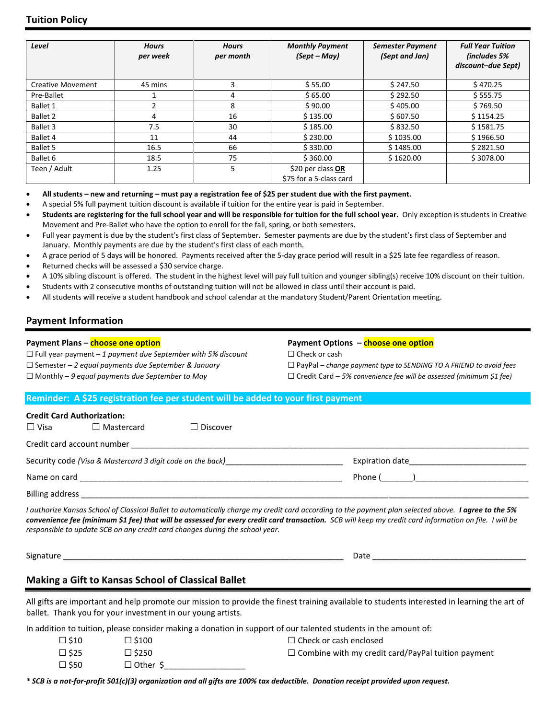| Level                    | <b>Hours</b><br>per week | <b>Hours</b><br>per month | <b>Monthly Payment</b><br>(Sept – May)       | <b>Semester Payment</b><br>(Sept and Jan) | <b>Full Year Tuition</b><br>(includes 5%<br>discount-due Sept) |
|--------------------------|--------------------------|---------------------------|----------------------------------------------|-------------------------------------------|----------------------------------------------------------------|
| <b>Creative Movement</b> | 45 mins                  | 3                         | \$55.00                                      | \$247.50                                  | \$470.25                                                       |
| Pre-Ballet               |                          | 4                         | \$65.00                                      | \$292.50                                  | \$555.75                                                       |
| <b>Ballet 1</b>          |                          | 8                         | \$90.00                                      | \$405.00                                  | \$769.50                                                       |
| <b>Ballet 2</b>          | 4                        | 16                        | \$135.00                                     | \$607.50                                  | \$1154.25                                                      |
| Ballet 3                 | 7.5                      | 30                        | \$185.00                                     | \$832.50                                  | \$1581.75                                                      |
| Ballet 4                 | 11                       | 44                        | \$230.00                                     | \$1035.00                                 | \$1966.50                                                      |
| <b>Ballet 5</b>          | 16.5                     | 66                        | \$330.00                                     | \$1485.00                                 | \$2821.50                                                      |
| Ballet 6                 | 18.5                     | 75                        | \$360.00                                     | \$1620.00                                 | \$3078.00                                                      |
| Teen / Adult             | 1.25                     | 5                         | \$20 per class OR<br>\$75 for a 5-class card |                                           |                                                                |

- **All students – new and returning – must pay a registration fee of \$25 per student due with the first payment.**
- A special 5% full payment tuition discount is available if tuition for the entire year is paid in September.
- **Students are registering for the full school year and will be responsible for tuition for the full school year.** Only exception is students in Creative Movement and Pre-Ballet who have the option to enroll for the fall, spring, or both semesters.
- Full year payment is due by the student's first class of September. Semester payments are due by the student's first class of September and January. Monthly payments are due by the student's first class of each month.
- A grace period of 5 days will be honored. Payments received after the 5-day grace period will result in a \$25 late fee regardless of reason.
- Returned checks will be assessed a \$30 service charge.
- A 10% sibling discount is offered. The student in the highest level will pay full tuition and younger sibling(s) receive 10% discount on their tuition.
- Students with 2 consecutive months of outstanding tuition will not be allowed in class until their account is paid.
- All students will receive a student handbook and school calendar at the mandatory Student/Parent Orientation meeting.

## **Payment Information**

### **Payment Plans – choose one option**

☐ Full year payment – *1 payment due September with 5% discount* ☐ Semester – *2 equal payments due September & January* ☐ Monthly – *9 equal payments due September to May* 

### **Payment Options – choose one option**

☐ Check or cash

☐ PayPal – *change payment type to SENDING TO A FRIEND to avoid fees*

☐ Credit Card – *5% convenience fee will be assessed (minimum \$1 fee)*

### **Reminder: A \$25 registration fee per student will be added to your first payment**

|                                                            | <b>Credit Card Authorization:</b> |                 |                                  |  |
|------------------------------------------------------------|-----------------------------------|-----------------|----------------------------------|--|
| $\Box$ Visa                                                | $\Box$ Mastercard                 | $\Box$ Discover |                                  |  |
|                                                            |                                   |                 |                                  |  |
| Security code (Visa & Mastercard 3 digit code on the back) |                                   |                 |                                  |  |
| Name on card                                               |                                   |                 | Phone ( ) <u>_______________</u> |  |
| Billing address                                            |                                   |                 |                                  |  |

*I authorize Kansas School of Classical Ballet to automatically charge my credit card according to the payment plan selected above. I agree to the 5% convenience fee (minimum \$1 fee) that will be assessed for every credit card transaction. SCB will keep my credit card information on file. I will be responsible to update SCB on any credit card changes during the school year.*

Signature \_\_\_\_\_\_\_\_\_\_\_\_\_\_\_\_\_\_\_\_\_\_\_\_\_\_\_\_\_\_\_\_\_\_\_\_\_\_\_\_\_\_\_\_\_\_\_\_\_\_\_\_\_\_\_\_\_\_\_\_\_\_ Date \_\_\_\_\_\_\_\_\_\_\_\_\_\_\_\_\_\_\_\_\_\_\_\_\_\_\_\_\_\_\_\_\_\_

# **Making a Gift to Kansas School of Classical Ballet**

All gifts are important and help promote our mission to provide the finest training available to students interested in learning the art of ballet. Thank you for your investment in our young artists.

In addition to tuition, please consider making a donation in support of our talented students in the amount of:

| $\square$ \$10 | $\Box$ \$100   | $\Box$ Check or cash enclosed                             |
|----------------|----------------|-----------------------------------------------------------|
| $\square$ \$25 | $\Box$ \$250   | $\Box$ Combine with my credit card/PayPal tuition payment |
| $\square$ \$50 | $\Box$ Other S |                                                           |

*\* SCB is a not-for-profit 501(c)(3) organization and all gifts are 100% tax deductible. Donation receipt provided upon request.*